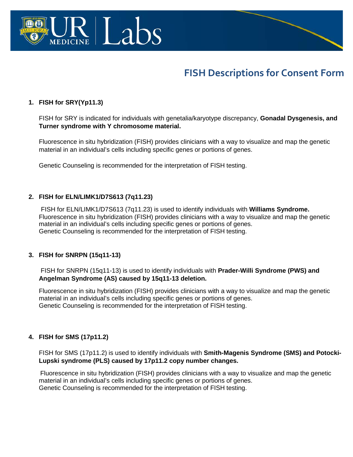

# **FISH Descriptions for Consent Form**

#### **1. FISH for SRY(Yp11.3)**

FISH for SRY is indicated for individuals with genetalia/karyotype discrepancy, **Gonadal Dysgenesis, and Turner syndrome with Y chromosome material.**

Fluorescence in situ hybridization (FISH) provides clinicians with a way to visualize and map the genetic material in an individual's cells including specific genes or portions of genes.

Genetic Counseling is recommended for the interpretation of FISH testing.

#### **2. FISH for ELN/LIMK1/D7S613 (7q11.23)**

 FISH for ELN/LIMK1/D7S613 (7q11.23) is used to identify individuals with **Williams Syndrome.** Fluorescence in situ hybridization (FISH) provides clinicians with a way to visualize and map the genetic material in an individual's cells including specific genes or portions of genes. Genetic Counseling is recommended for the interpretation of FISH testing.

#### **3. FISH for SNRPN (15q11-13)**

FISH for SNRPN (15q11-13) is used to identify individuals with **Prader-Willi Syndrome (PWS) and Angelman Syndrome (AS) caused by 15q11-13 deletion.**

Fluorescence in situ hybridization (FISH) provides clinicians with a way to visualize and map the genetic material in an individual's cells including specific genes or portions of genes. Genetic Counseling is recommended for the interpretation of FISH testing.

#### **4. FISH for SMS (17p11.2)**

FISH for SMS (17p11.2) is used to identify individuals with **Smith-Magenis Syndrome (SMS) and Potocki-Lupski syndrome (PLS) caused by 17p11.2 copy number changes.**

Fluorescence in situ hybridization (FISH) provides clinicians with a way to visualize and map the genetic material in an individual's cells including specific genes or portions of genes. Genetic Counseling is recommended for the interpretation of FISH testing.